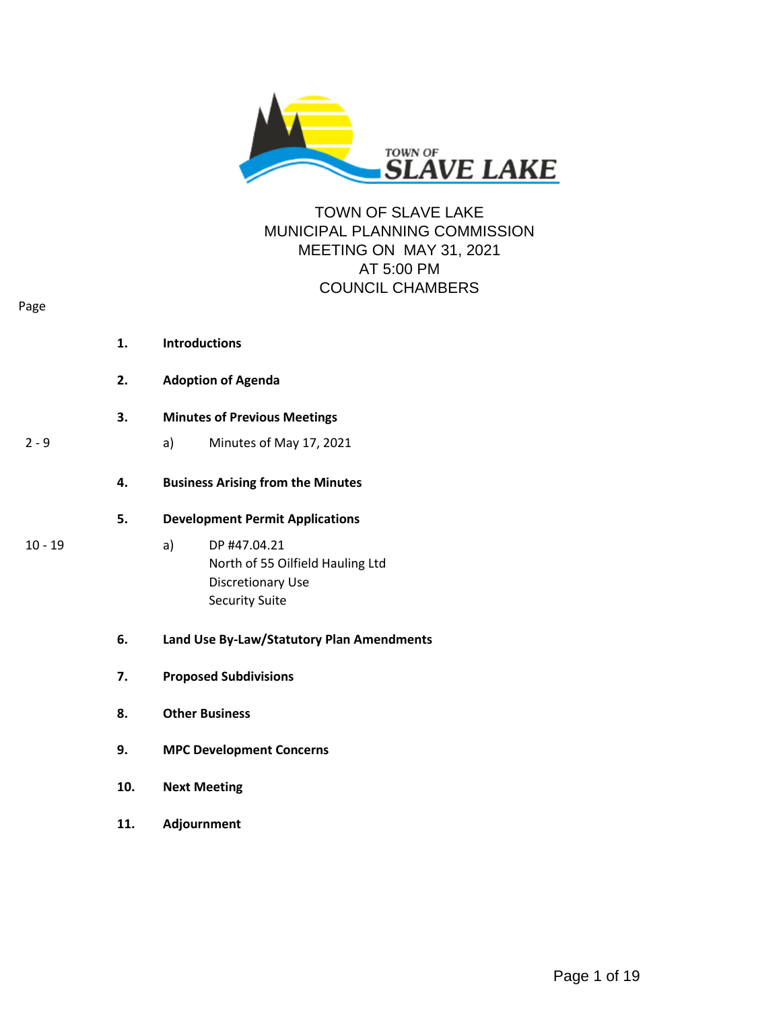

# TOWN OF SLAVE LAKE MUNICIPAL PLANNING COMMISSION MEETING ON MAY 31, 2021 AT 5:00 PM COUNCIL CHAMBERS

| 1. | <b>Introductions</b>                                                                                 |
|----|------------------------------------------------------------------------------------------------------|
| 2. | <b>Adoption of Agenda</b>                                                                            |
| З. | <b>Minutes of Previous Meetings</b>                                                                  |
|    | Minutes of May 17, 2021<br>a)                                                                        |
| 4. | <b>Business Arising from the Minutes</b>                                                             |
| 5. | <b>Development Permit Applications</b>                                                               |
|    | DP #47.04.21<br>a)<br>North of 55 Oilfield Hauling Ltd<br>Discretionary Use<br><b>Security Suite</b> |
|    |                                                                                                      |

- **6. Land Use By-Law/Statutory Plan Amendments**
- **7. Proposed Subdivisions**
- **8. Other Business**
- **9. MPC Development Concerns**
- **10. Next Meeting**
- **11. Adjournment**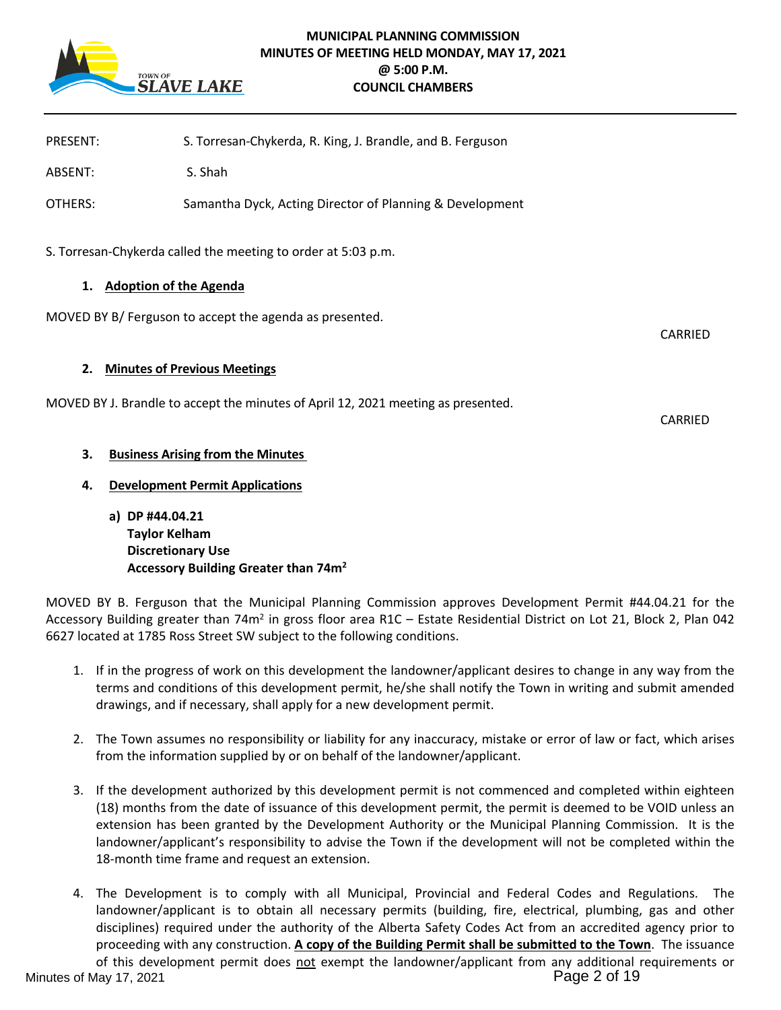

# **MUNICIPAL PLANNING COMMISSION MINUTES OF MEETING HELD MONDAY, MAY 17, 2021 @ 5:00 P.M. COUNCIL CHAMBERS**

| PRESENT:                            | S. Torresan-Chykerda, R. King, J. Brandle, and B. Ferguson                        |                |
|-------------------------------------|-----------------------------------------------------------------------------------|----------------|
| ABSENT:                             | S. Shah                                                                           |                |
| OTHERS:                             | Samantha Dyck, Acting Director of Planning & Development                          |                |
|                                     | S. Torresan-Chykerda called the meeting to order at 5:03 p.m.                     |                |
| <b>Adoption of the Agenda</b><br>1. |                                                                                   |                |
|                                     | MOVED BY B/ Ferguson to accept the agenda as presented.                           | CARRIED        |
| 2.                                  | <b>Minutes of Previous Meetings</b>                                               |                |
|                                     | MOVED BY J. Brandle to accept the minutes of April 12, 2021 meeting as presented. | <b>CARRIFD</b> |
| 3.                                  | <b>Business Arising from the Minutes</b>                                          |                |
| 4.                                  | <b>Development Permit Applications</b>                                            |                |

**a) DP #44.04.21 Taylor Kelham Discretionary Use Accessory Building Greater than 74m<sup>2</sup>**

MOVED BY B. Ferguson that the Municipal Planning Commission approves Development Permit #44.04.21 for the Accessory Building greater than 74m<sup>2</sup> in gross floor area R1C - Estate Residential District on Lot 21, Block 2, Plan 042 6627 located at 1785 Ross Street SW subject to the following conditions.

- 1. If in the progress of work on this development the landowner/applicant desires to change in any way from the terms and conditions of this development permit, he/she shall notify the Town in writing and submit amended drawings, and if necessary, shall apply for a new development permit.
- 2. The Town assumes no responsibility or liability for any inaccuracy, mistake or error of law or fact, which arises from the information supplied by or on behalf of the landowner/applicant.
- 3. If the development authorized by this development permit is not commenced and completed within eighteen (18) months from the date of issuance of this development permit, the permit is deemed to be VOID unless an extension has been granted by the Development Authority or the Municipal Planning Commission. It is the landowner/applicant's responsibility to advise the Town if the development will not be completed within the 18-month time frame and request an extension.
- 4. The Development is to comply with all Municipal, Provincial and Federal Codes and Regulations. The landowner/applicant is to obtain all necessary permits (building, fire, electrical, plumbing, gas and other disciplines) required under the authority of the Alberta Safety Codes Act from an accredited agency prior to proceeding with any construction. **A copy of the Building Permit shall be submitted to the Town**. The issuance of this development permit does not exempt the landowner/applicant from any additional requirements or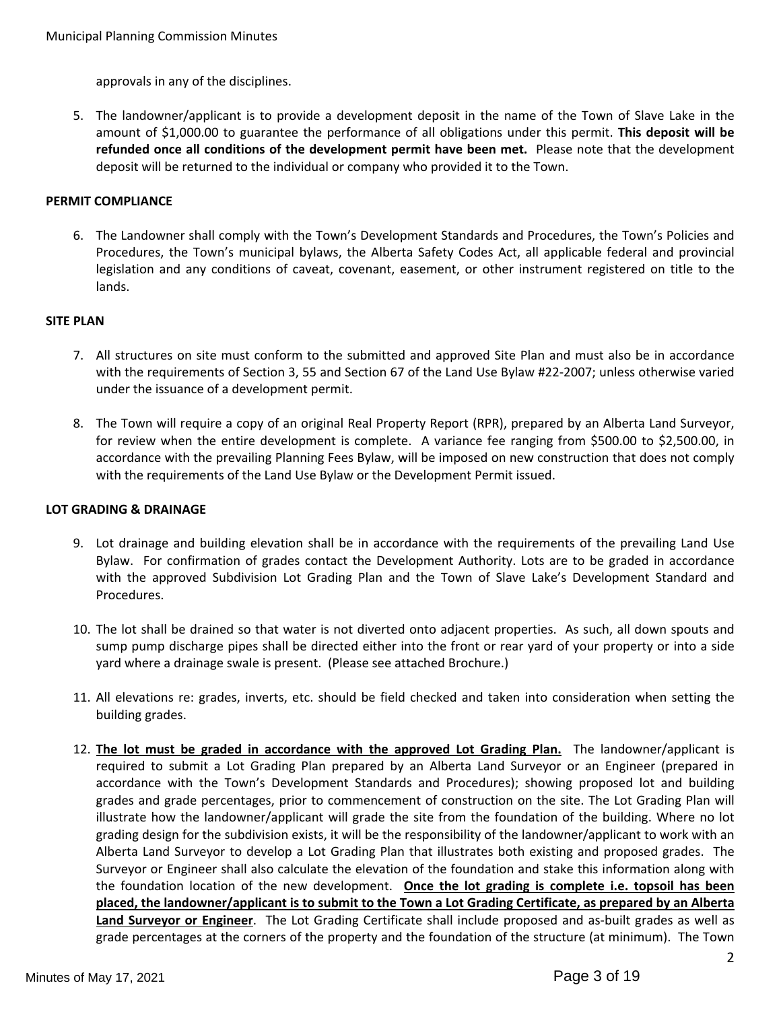approvals in any of the disciplines.

5. The landowner/applicant is to provide a development deposit in the name of the Town of Slave Lake in the amount of \$1,000.00 to guarantee the performance of all obligations under this permit. **This deposit will be refunded once all conditions of the development permit have been met.** Please note that the development deposit will be returned to the individual or company who provided it to the Town.

## **PERMIT COMPLIANCE**

6. The Landowner shall comply with the Town's Development Standards and Procedures, the Town's Policies and Procedures, the Town's municipal bylaws, the Alberta Safety Codes Act, all applicable federal and provincial legislation and any conditions of caveat, covenant, easement, or other instrument registered on title to the lands.

#### **SITE PLAN**

- 7. All structures on site must conform to the submitted and approved Site Plan and must also be in accordance with the requirements of Section 3, 55 and Section 67 of the Land Use Bylaw #22-2007; unless otherwise varied under the issuance of a development permit.
- 8. The Town will require a copy of an original Real Property Report (RPR), prepared by an Alberta Land Surveyor, for review when the entire development is complete. A variance fee ranging from \$500.00 to \$2,500.00, in accordance with the prevailing Planning Fees Bylaw, will be imposed on new construction that does not comply with the requirements of the Land Use Bylaw or the Development Permit issued.

#### **LOT GRADING & DRAINAGE**

- 9. Lot drainage and building elevation shall be in accordance with the requirements of the prevailing Land Use Bylaw. For confirmation of grades contact the Development Authority. Lots are to be graded in accordance with the approved Subdivision Lot Grading Plan and the Town of Slave Lake's Development Standard and Procedures.
- 10. The lot shall be drained so that water is not diverted onto adjacent properties. As such, all down spouts and sump pump discharge pipes shall be directed either into the front or rear yard of your property or into a side yard where a drainage swale is present. (Please see attached Brochure.)
- 11. All elevations re: grades, inverts, etc. should be field checked and taken into consideration when setting the building grades.
- 12. **The lot must be graded in accordance with the approved Lot Grading Plan.** The landowner/applicant is required to submit a Lot Grading Plan prepared by an Alberta Land Surveyor or an Engineer (prepared in accordance with the Town's Development Standards and Procedures); showing proposed lot and building grades and grade percentages, prior to commencement of construction on the site. The Lot Grading Plan will illustrate how the landowner/applicant will grade the site from the foundation of the building. Where no lot grading design for the subdivision exists, it will be the responsibility of the landowner/applicant to work with an Alberta Land Surveyor to develop a Lot Grading Plan that illustrates both existing and proposed grades. The Surveyor or Engineer shall also calculate the elevation of the foundation and stake this information along with the foundation location of the new development. **Once the lot grading is complete i.e. topsoil has been placed, the landowner/applicant is to submit to the Town a Lot Grading Certificate, as prepared by an Alberta Land Surveyor or Engineer**. The Lot Grading Certificate shall include proposed and as-built grades as well as grade percentages at the corners of the property and the foundation of the structure (at minimum). The Town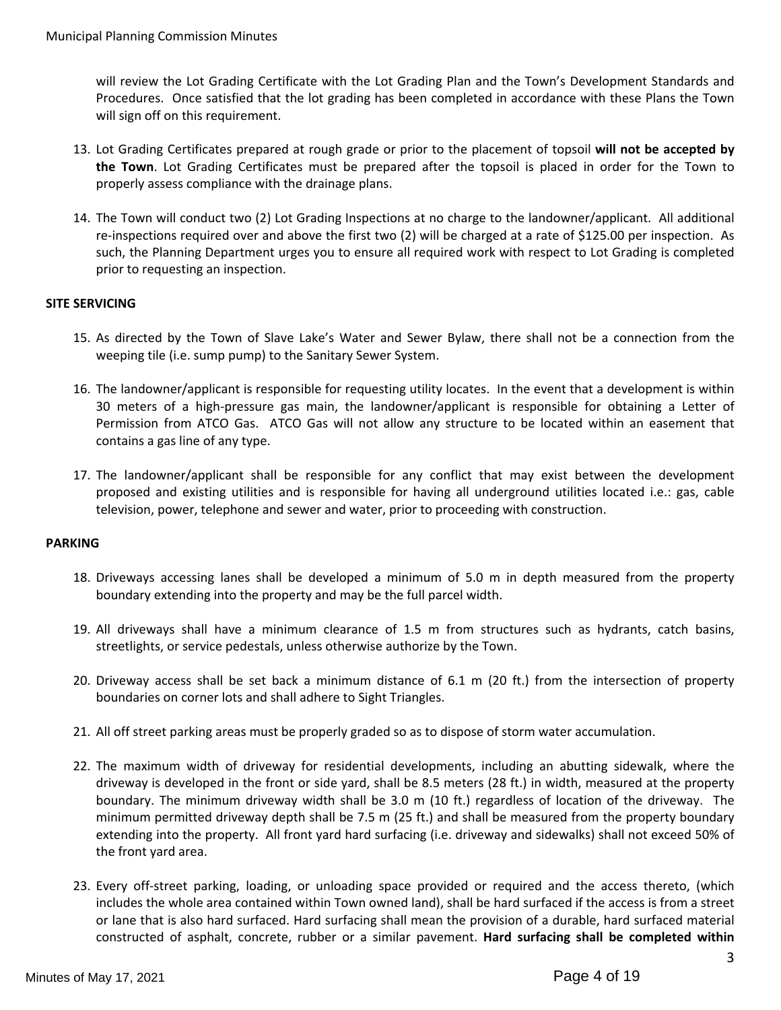will review the Lot Grading Certificate with the Lot Grading Plan and the Town's Development Standards and Procedures. Once satisfied that the lot grading has been completed in accordance with these Plans the Town will sign off on this requirement.

- 13. Lot Grading Certificates prepared at rough grade or prior to the placement of topsoil **will not be accepted by the Town**. Lot Grading Certificates must be prepared after the topsoil is placed in order for the Town to properly assess compliance with the drainage plans.
- 14. The Town will conduct two (2) Lot Grading Inspections at no charge to the landowner/applicant. All additional re-inspections required over and above the first two (2) will be charged at a rate of \$125.00 per inspection. As such, the Planning Department urges you to ensure all required work with respect to Lot Grading is completed prior to requesting an inspection.

## **SITE SERVICING**

- 15. As directed by the Town of Slave Lake's Water and Sewer Bylaw, there shall not be a connection from the weeping tile (i.e. sump pump) to the Sanitary Sewer System.
- 16. The landowner/applicant is responsible for requesting utility locates. In the event that a development is within 30 meters of a high-pressure gas main, the landowner/applicant is responsible for obtaining a Letter of Permission from ATCO Gas. ATCO Gas will not allow any structure to be located within an easement that contains a gas line of any type.
- 17. The landowner/applicant shall be responsible for any conflict that may exist between the development proposed and existing utilities and is responsible for having all underground utilities located i.e.: gas, cable television, power, telephone and sewer and water, prior to proceeding with construction.

## **PARKING**

- 18. Driveways accessing lanes shall be developed a minimum of 5.0 m in depth measured from the property boundary extending into the property and may be the full parcel width.
- 19. All driveways shall have a minimum clearance of 1.5 m from structures such as hydrants, catch basins, streetlights, or service pedestals, unless otherwise authorize by the Town.
- 20. Driveway access shall be set back a minimum distance of 6.1 m (20 ft.) from the intersection of property boundaries on corner lots and shall adhere to Sight Triangles.
- 21. All off street parking areas must be properly graded so as to dispose of storm water accumulation.
- 22. The maximum width of driveway for residential developments, including an abutting sidewalk, where the driveway is developed in the front or side yard, shall be 8.5 meters (28 ft.) in width, measured at the property boundary. The minimum driveway width shall be 3.0 m (10 ft.) regardless of location of the driveway. The minimum permitted driveway depth shall be 7.5 m (25 ft.) and shall be measured from the property boundary extending into the property. All front yard hard surfacing (i.e. driveway and sidewalks) shall not exceed 50% of the front yard area.
- 23. Every off-street parking, loading, or unloading space provided or required and the access thereto, (which includes the whole area contained within Town owned land), shall be hard surfaced if the access is from a street or lane that is also hard surfaced. Hard surfacing shall mean the provision of a durable, hard surfaced material constructed of asphalt, concrete, rubber or a similar pavement. **Hard surfacing shall be completed within**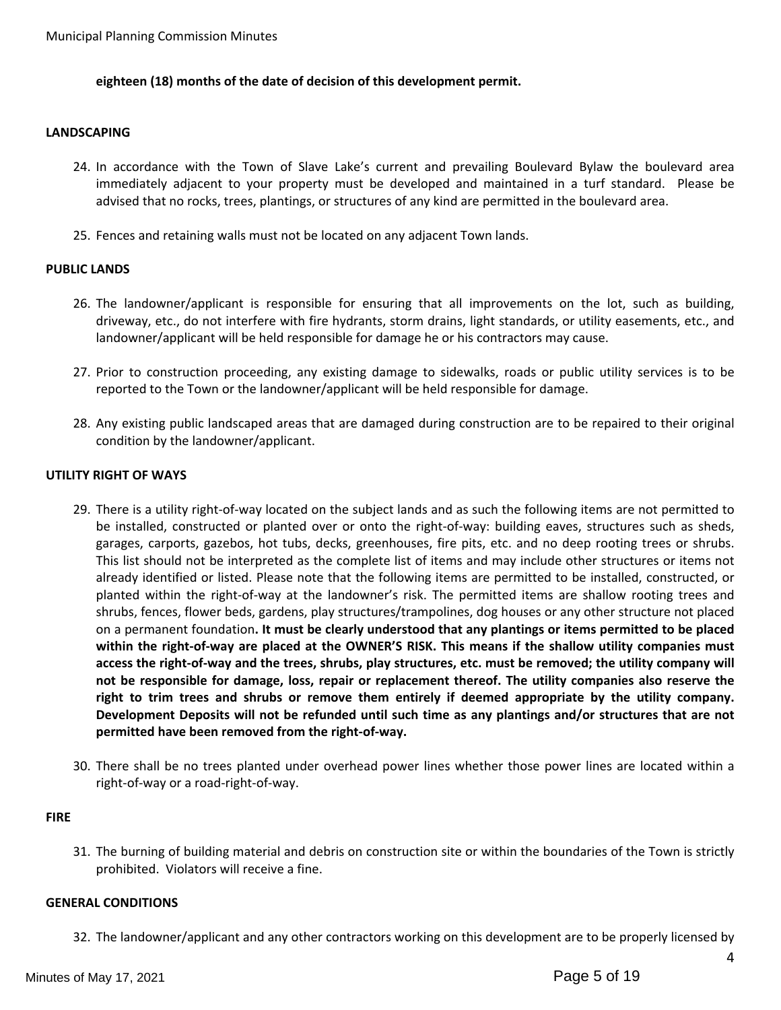## **eighteen (18) months of the date of decision of this development permit.**

#### **LANDSCAPING**

- 24. In accordance with the Town of Slave Lake's current and prevailing Boulevard Bylaw the boulevard area immediately adjacent to your property must be developed and maintained in a turf standard. Please be advised that no rocks, trees, plantings, or structures of any kind are permitted in the boulevard area.
- 25. Fences and retaining walls must not be located on any adjacent Town lands.

## **PUBLIC LANDS**

- 26. The landowner/applicant is responsible for ensuring that all improvements on the lot, such as building, driveway, etc., do not interfere with fire hydrants, storm drains, light standards, or utility easements, etc., and landowner/applicant will be held responsible for damage he or his contractors may cause.
- 27. Prior to construction proceeding, any existing damage to sidewalks, roads or public utility services is to be reported to the Town or the landowner/applicant will be held responsible for damage.
- 28. Any existing public landscaped areas that are damaged during construction are to be repaired to their original condition by the landowner/applicant.

#### **UTILITY RIGHT OF WAYS**

- 29. There is a utility right-of-way located on the subject lands and as such the following items are not permitted to be installed, constructed or planted over or onto the right-of-way: building eaves, structures such as sheds, garages, carports, gazebos, hot tubs, decks, greenhouses, fire pits, etc. and no deep rooting trees or shrubs. This list should not be interpreted as the complete list of items and may include other structures or items not already identified or listed. Please note that the following items are permitted to be installed, constructed, or planted within the right-of-way at the landowner's risk. The permitted items are shallow rooting trees and shrubs, fences, flower beds, gardens, play structures/trampolines, dog houses or any other structure not placed on a permanent foundation**. It must be clearly understood that any plantings or items permitted to be placed within the right-of-way are placed at the OWNER'S RISK. This means if the shallow utility companies must access the right-of-way and the trees, shrubs, play structures, etc. must be removed; the utility company will not be responsible for damage, loss, repair or replacement thereof. The utility companies also reserve the right to trim trees and shrubs or remove them entirely if deemed appropriate by the utility company. Development Deposits will not be refunded until such time as any plantings and/or structures that are not permitted have been removed from the right-of-way.**
- 30. There shall be no trees planted under overhead power lines whether those power lines are located within a right-of-way or a road-right-of-way.

#### **FIRE**

31. The burning of building material and debris on construction site or within the boundaries of the Town is strictly prohibited. Violators will receive a fine.

#### **GENERAL CONDITIONS**

32. The landowner/applicant and any other contractors working on this development are to be properly licensed by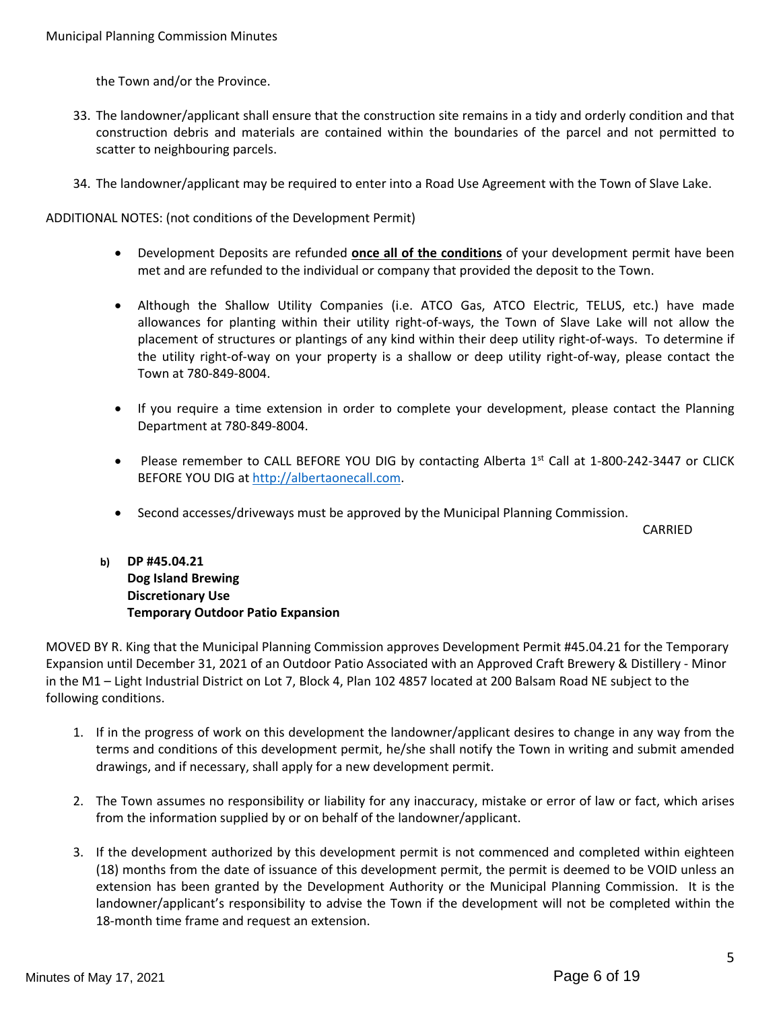the Town and/or the Province.

- 33. The landowner/applicant shall ensure that the construction site remains in a tidy and orderly condition and that construction debris and materials are contained within the boundaries of the parcel and not permitted to scatter to neighbouring parcels.
- 34. The landowner/applicant may be required to enter into a Road Use Agreement with the Town of Slave Lake.

ADDITIONAL NOTES: (not conditions of the Development Permit)

- Development Deposits are refunded **once all of the conditions** of your development permit have been met and are refunded to the individual or company that provided the deposit to the Town.
- Although the Shallow Utility Companies (i.e. ATCO Gas, ATCO Electric, TELUS, etc.) have made allowances for planting within their utility right-of-ways, the Town of Slave Lake will not allow the placement of structures or plantings of any kind within their deep utility right-of-ways. To determine if the utility right-of-way on your property is a shallow or deep utility right-of-way, please contact the Town at 780-849-8004.
- If you require a time extension in order to complete your development, please contact the Planning Department at 780-849-8004.
- Please remember to CALL BEFORE YOU DIG by contacting Alberta 1st Call at 1-800-242-3447 or CLICK BEFORE YOU DIG at [http://albertaonecall.com](http://albertaonecall.com/).
- Second accesses/driveways must be approved by the Municipal Planning Commission.

CARRIED

**b) DP #45.04.21 Dog Island Brewing Discretionary Use Temporary Outdoor Patio Expansion** 

MOVED BY R. King that the Municipal Planning Commission approves Development Permit #45.04.21 for the Temporary Expansion until December 31, 2021 of an Outdoor Patio Associated with an Approved Craft Brewery & Distillery - Minor in the M1 – Light Industrial District on Lot 7, Block 4, Plan 102 4857 located at 200 Balsam Road NE subject to the following conditions.

- 1. If in the progress of work on this development the landowner/applicant desires to change in any way from the terms and conditions of this development permit, he/she shall notify the Town in writing and submit amended drawings, and if necessary, shall apply for a new development permit.
- 2. The Town assumes no responsibility or liability for any inaccuracy, mistake or error of law or fact, which arises from the information supplied by or on behalf of the landowner/applicant.
- 3. If the development authorized by this development permit is not commenced and completed within eighteen (18) months from the date of issuance of this development permit, the permit is deemed to be VOID unless an extension has been granted by the Development Authority or the Municipal Planning Commission. It is the landowner/applicant's responsibility to advise the Town if the development will not be completed within the 18-month time frame and request an extension.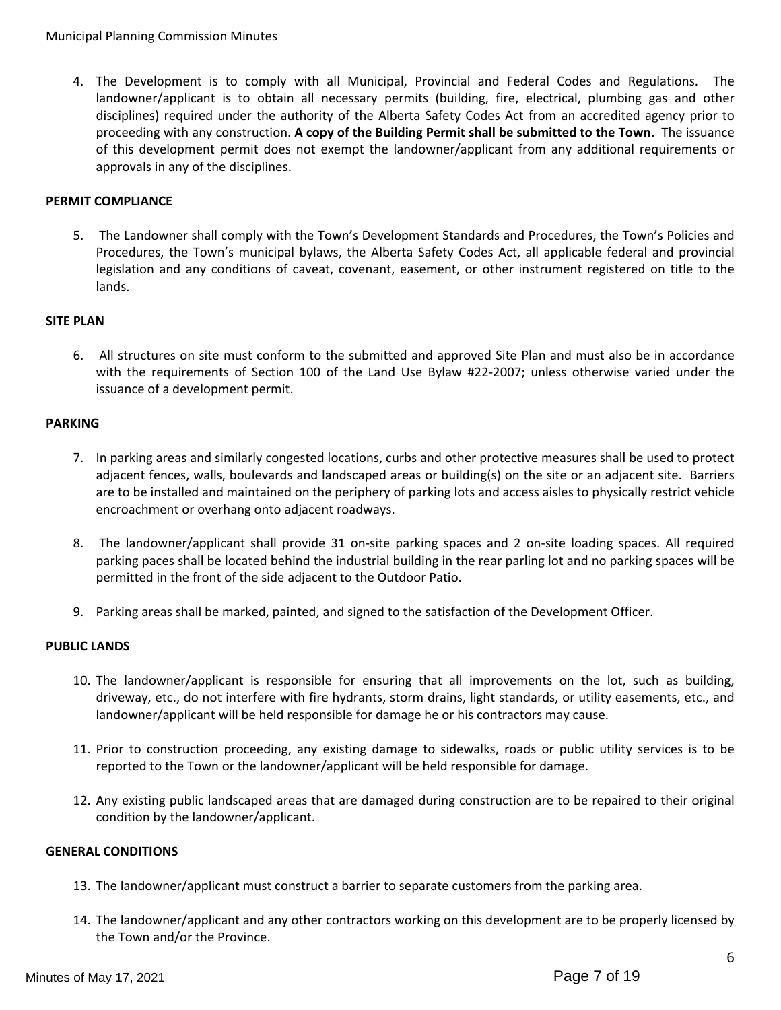4. The Development is to comply with all Municipal, Provincial and Federal Codes and Regulations. The landowner/applicant is to obtain all necessary permits (building, fire, electrical, plumbing gas and other disciplines) required under the authority of the Alberta Safety Codes Act from an accredited agency prior to proceeding with any construction. **A copy of the Building Permit shall be submitted to the Town.** The issuance of this development permit does not exempt the landowner/applicant from any additional requirements or approvals in any of the disciplines.

## **PERMIT COMPLIANCE**

5. The Landowner shall comply with the Town's Development Standards and Procedures, the Town's Policies and Procedures, the Town's municipal bylaws, the Alberta Safety Codes Act, all applicable federal and provincial legislation and any conditions of caveat, covenant, easement, or other instrument registered on title to the lands.

## **SITE PLAN**

6. All structures on site must conform to the submitted and approved Site Plan and must also be in accordance with the requirements of Section 100 of the Land Use Bylaw #22-2007; unless otherwise varied under the issuance of a development permit.

## **PARKING**

- 7. In parking areas and similarly congested locations, curbs and other protective measures shall be used to protect adjacent fences, walls, boulevards and landscaped areas or building(s) on the site or an adjacent site. Barriers are to be installed and maintained on the periphery of parking lots and access aisles to physically restrict vehicle encroachment or overhang onto adjacent roadways.
- 8. The landowner/applicant shall provide 31 on-site parking spaces and 2 on-site loading spaces. All required parking paces shall be located behind the industrial building in the rear parling lot and no parking spaces will be permitted in the front of the side adjacent to the Outdoor Patio.
- 9. Parking areas shall be marked, painted, and signed to the satisfaction of the Development Officer.

## **PUBLIC LANDS**

- 10. The landowner/applicant is responsible for ensuring that all improvements on the lot, such as building, driveway, etc., do not interfere with fire hydrants, storm drains, light standards, or utility easements, etc., and landowner/applicant will be held responsible for damage he or his contractors may cause.
- 11. Prior to construction proceeding, any existing damage to sidewalks, roads or public utility services is to be reported to the Town or the landowner/applicant will be held responsible for damage.
- 12. Any existing public landscaped areas that are damaged during construction are to be repaired to their original condition by the landowner/applicant.

## **GENERAL CONDITIONS**

- 13. The landowner/applicant must construct a barrier to separate customers from the parking area.
- 14. The landowner/applicant and any other contractors working on this development are to be properly licensed by the Town and/or the Province.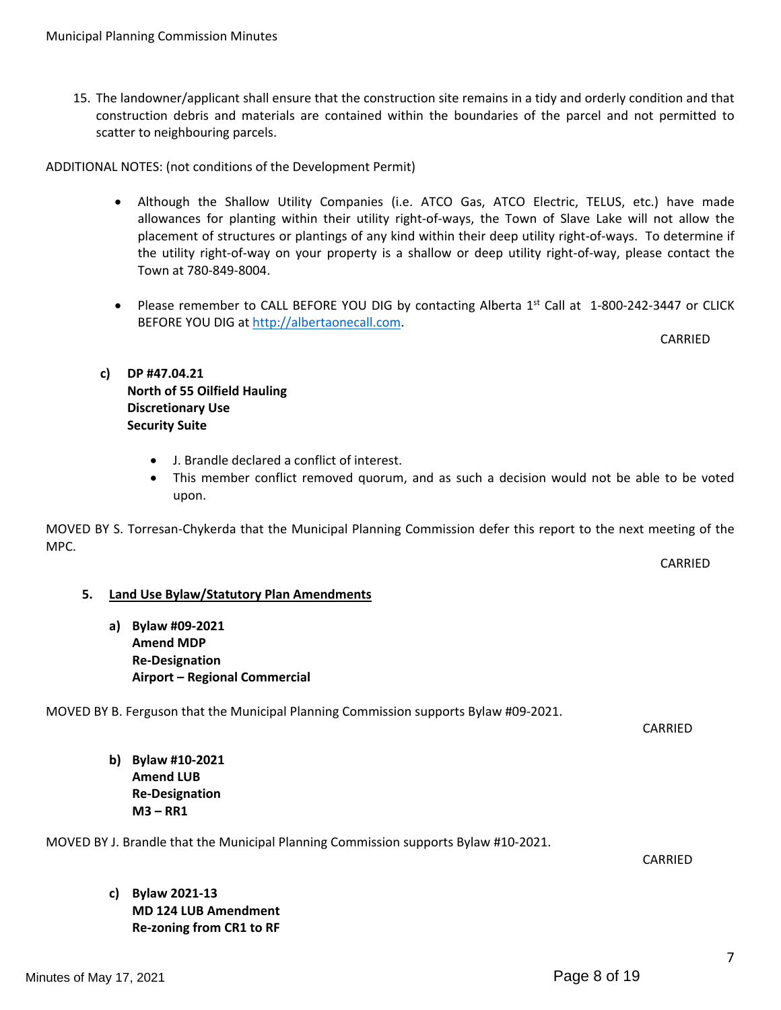15. The landowner/applicant shall ensure that the construction site remains in a tidy and orderly condition and that construction debris and materials are contained within the boundaries of the parcel and not permitted to scatter to neighbouring parcels.

ADDITIONAL NOTES: (not conditions of the Development Permit)

- Although the Shallow Utility Companies (i.e. ATCO Gas, ATCO Electric, TELUS, etc.) have made allowances for planting within their utility right-of-ways, the Town of Slave Lake will not allow the placement of structures or plantings of any kind within their deep utility right-of-ways. To determine if the utility right-of-way on your property is a shallow or deep utility right-of-way, please contact the Town at 780-849-8004.
- Please remember to CALL BEFORE YOU DIG by contacting Alberta 1st Call at 1-800-242-3447 or CLICK BEFORE YOU DIG at [http://albertaonecall.com](http://albertaonecall.com/).

CARRIED

CARRIED

# **c) DP #47.04.21 North of 55 Oilfield Hauling Discretionary Use Security Suite**

- J. Brandle declared a conflict of interest.
- This member conflict removed quorum, and as such a decision would not be able to be voted upon.

MOVED BY S. Torresan-Chykerda that the Municipal Planning Commission defer this report to the next meeting of the MPC.

## **5. Land Use Bylaw/Statutory Plan Amendments**

**a) Bylaw #09-2021 Amend MDP Re-Designation Airport – Regional Commercial**

MOVED BY B. Ferguson that the Municipal Planning Commission supports Bylaw #09-2021.

CARRIED

**b) Bylaw #10-2021 Amend LUB Re-Designation M3 – RR1**

MOVED BY J. Brandle that the Municipal Planning Commission supports Bylaw #10-2021.

CARRIED

**c) Bylaw 2021-13 MD 124 LUB Amendment Re-zoning from CR1 to RF**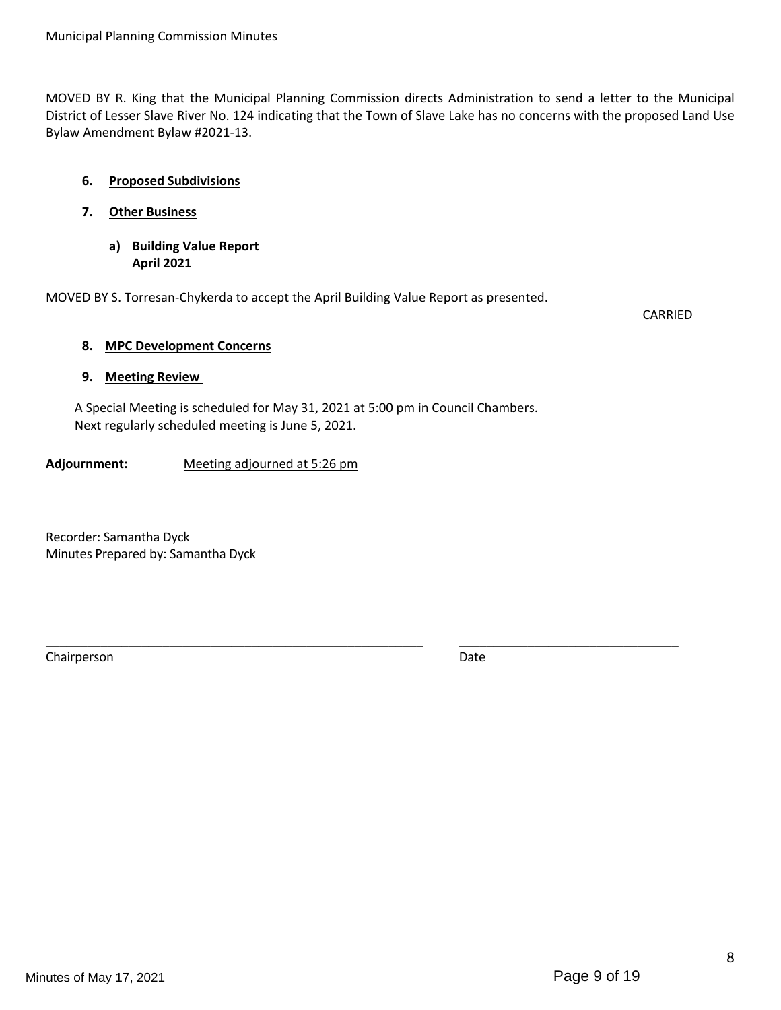MOVED BY R. King that the Municipal Planning Commission directs Administration to send a letter to the Municipal District of Lesser Slave River No. 124 indicating that the Town of Slave Lake has no concerns with the proposed Land Use Bylaw Amendment Bylaw #2021-13.

# **6. Proposed Subdivisions**

- **7. Other Business**
	- **a) Building Value Report April 2021**

MOVED BY S. Torresan-Chykerda to accept the April Building Value Report as presented.

CARRIED

## **8. MPC Development Concerns**

## **9. Meeting Review**

A Special Meeting is scheduled for May 31, 2021 at 5:00 pm in Council Chambers. Next regularly scheduled meeting is June 5, 2021.

\_\_\_\_\_\_\_\_\_\_\_\_\_\_\_\_\_\_\_\_\_\_\_\_\_\_\_\_\_\_\_\_\_\_\_\_\_\_\_\_\_\_\_\_\_\_\_\_\_\_\_\_\_\_\_ \_\_\_\_\_\_\_\_\_\_\_\_\_\_\_\_\_\_\_\_\_\_\_\_\_\_\_\_\_\_\_\_

**Adjournment:** Meeting adjourned at 5:26 pm

Recorder: Samantha Dyck Minutes Prepared by: Samantha Dyck

Chairperson Date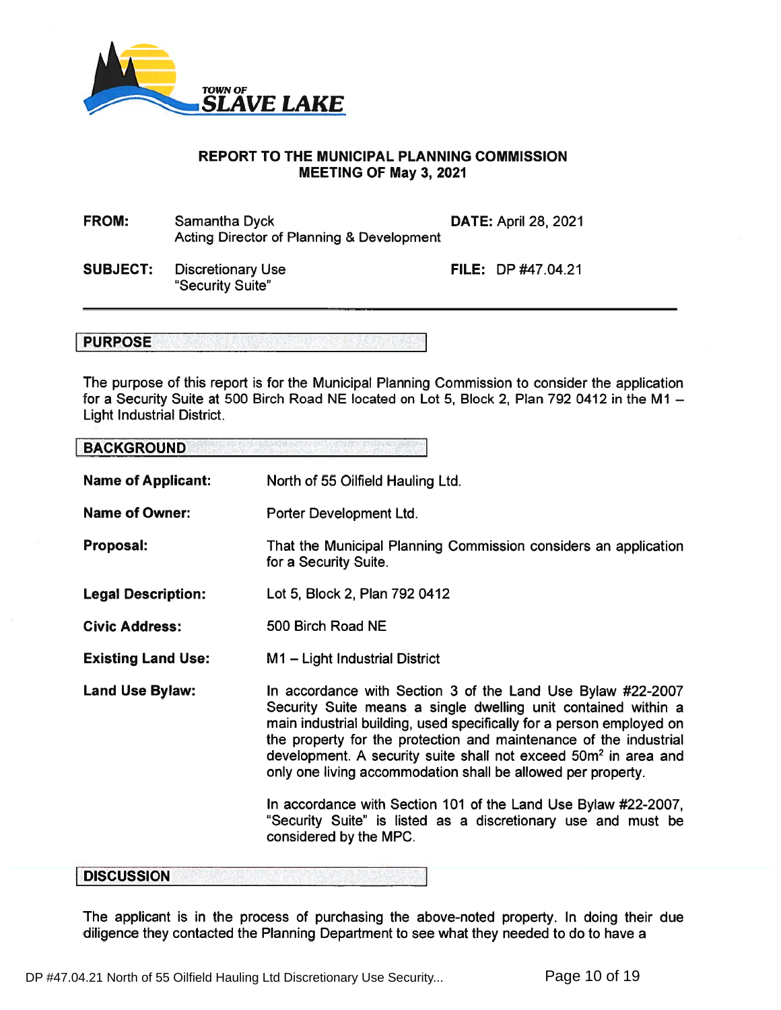

## REPORT TO THE MUNICIPAL PLANNING COMMISSION MEETING OF May 3, 2021

| <b>FROM:</b> | Samantha Dyck                                        | <b>DATE: April 28, 2021</b> |
|--------------|------------------------------------------------------|-----------------------------|
|              | <b>Acting Director of Planning &amp; Development</b> |                             |

SUBJECT: Discretionary Use "Security Suite"

FILE: DP#47.04.21

# **PURPOSE**

The purpose of this repor<sup>t</sup> is for the Municipal Planning Commission to consider the application for a Security Suite at 500 Birch Road NE located on Lot 5, Block 2, Plan 792 0412 in the M1 – Light Industrial District.

# BACKGROUND

Name of Applicant: North of 55 Oilfield Hauling Ltd.

- Name of Owner: Porter Development Ltd.
- Proposal: That the Municipal Planning Commission considers an application for <sup>a</sup> Security Suite.
- Legal Description: Lot 5, Block 2, Plan 792 0412
- Civic Address: 500 Birch Road NE
- Existing Land Use: M1 – Light Industrial District
- Land Use Bylaw: In accordance with Section 3 of the Land Use Bylaw #22-2007 Security Suite means <sup>a</sup> single dwelling unit contained within <sup>a</sup> main industrial building, used specifically for <sup>a</sup> person employed on the property for the protection and maintenance of the industrial development. A security suite shall not exceed 50m<del>°</del> in area and only one living accommodation shall be allowed per property.

In accordance with Section 101 of the Land Use Bylaw #22-2007, "Security Suite" is listed as <sup>a</sup> discretionary use and must be considered by the MPC.

## **DISCUSSION**

The applicant is in the process of purchasing the above-noted property. In doing their due diligence they contacted the Planning Department to see what they needed to do to have <sup>a</sup>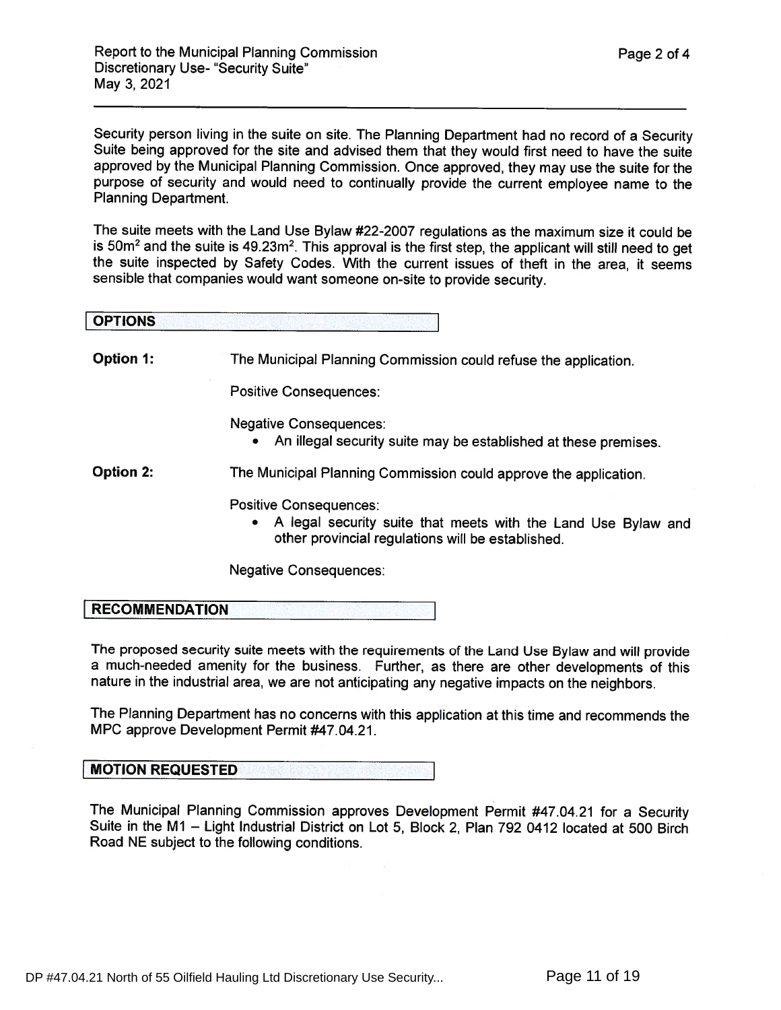Security person living in the suite on site. The Planning Department had no record of <sup>a</sup> Security Suite being approve<sup>d</sup> for the site and advised them that they would first need to have the suite approve<sup>d</sup> by the Municipal Planning Commission. Once approved, they may use the suite for the purpose of security and would need to continually provide the current employee name to the Planning Department.

The suite meets with the Land Use Bylaw #22-2007 regulations as the maximum size it could be is 50m² and the suite is 49.23m². This approval is the first step, the applicant will still need to get the suite inspected by Safety Codes. With the current issues of theft in the area, it seems sensible that companies would want someone on-site to provide security.

| <b>OPTIONS</b>   |                                                                 |
|------------------|-----------------------------------------------------------------|
| <b>Option 1:</b> |                                                                 |
|                  | The Municipal Planning Commission could refuse the application. |

Positive Consequences:

Negative Consequences:

 $\bullet$   $\;$  An illegal security suite may be established at these premises

Option 2: The Municipal Planning Commission could approve the application.

Positive Consequences:

• A legal security suite that meets with the Land Use Bylaw and other provincial regulations will be established.

Negative Consequences:

RECOMMENDATION

The propose<sup>d</sup> security suite meets with the requirements of the Land Use Bylaw and will provide a much-needed amenity for the business. Further, as there are other developments of this nature in the industrial area, we are not anticipating any negative impacts on the neighbors.

The Planning Department has no concerns with this application at this time and recommends the MPC approve Development Permit #47.04.21.

# MOTION REQUESTED

The Municipal Planning Commission approves Development Permit #47.04.21 for a Security Suite in the Ml — Light Industrial District on Lot 5, Block 2, Plan 792 0412 located at 500 Birch Road NE subject to the following conditions.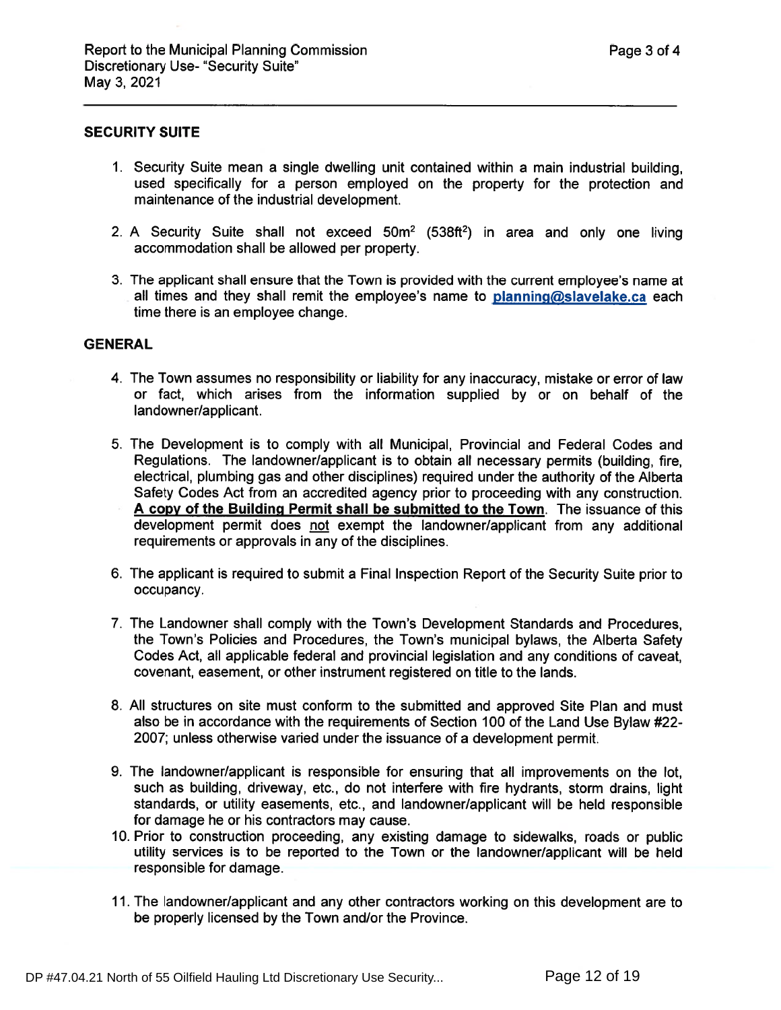#### SECURITY SUITE

- 1. Security Suite mean <sup>a</sup> single dwelling unit contained within <sup>a</sup> main industrial building, used specifically for <sup>a</sup> person employed on the property for the protection and maintenance of the industrial development.
- 2. A Security Suite shall not exceed 50m<sup>2</sup> (538ft<sup>2</sup>) in area and only one living accommodation shall be allowed per property.
- 3. The applicant shall ensure that the Town is provided with the current employee's name at all times and they shall remit the employee's name to  $planning@slavelake.ca$  each time there is an employee change.

#### **GENERAL**

- 4. The Town assumes no responsibility or liability for any inaccuracy, mistake or error of law or fact, which arises from the information supplied by or on behalf of the landowner/applicant.
- 5. The Development is to comply with all Municipal, Provincial and Federal Codes and Regulations. The landowner/applicant is to obtain all necessary permits (building, fire, electrical, plumbing gas and other disciplines) required under the authority of the Alberta Safety Codes Act from an accredited agency prior to proceeding with any construction. A copy of the Building Permit shall be submitted to the Town. The issuance of this development permit does not exemp<sup>t</sup> the landowner/applicant from any additional requirements or approvals in any of the disciplines.
- 6. The applicant is required to submit <sup>a</sup> Final Inspection Report of the Security Suite prior to occupancy.
- 7. The Landowner shall comply with the Town's Development Standards and Procedures, the Town's Policies and Procedures, the Town's municipal bylaws, the Alberta Safety Codes Act, all applicable federal and provincial legislation and any conditions of caveat, covenant, easement, or other instrument registered on title to the lands.
- 8. All structures on site must conform to the submitted and approved Site Plan and must also be in accordance with the requirements of Section 100 of the Land Use Bylaw #22- 2007; unless otherwise varied under the issuance of <sup>a</sup> development permit.
- 9. The landowner/applicant is responsible for ensuring that all improvements on the lot, such as building, driveway, etc., do not interfere with fire hydrants, storm drains, light standards, or utility easements, etc., and landowner/applicant will be held responsible for damage he or his contractors may cause.
- 10. Prior to construction proceeding, any existing damage to sidewalks, roads or public utility services is to be reported to the Town or the landowner/applicant will be held responsible for damage.
- 11. The landowner/applicant and any other contractors working on this development are to be properly licensed by the Town and/or the Province.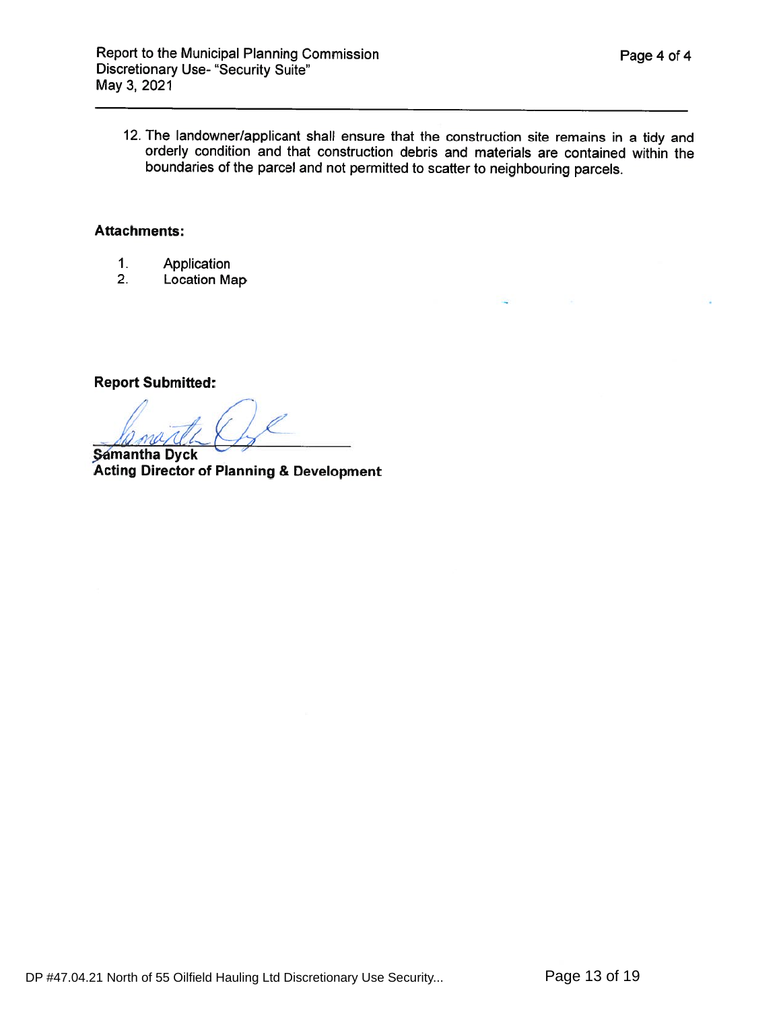12. The landowner/applicant shall ensure that the construction site remains in <sup>a</sup> tidy and orderly condition and that construction debris and materials are contained within the boundaries of the parcel and not permitted to scatter to neighbouring parcels.

# Attachments:

- 1.Application
- 2.2. Location Map

Report Submitted:

/// $\theta$ 7, V/i

**Samantha Dyck** Acting Director of Planning & Development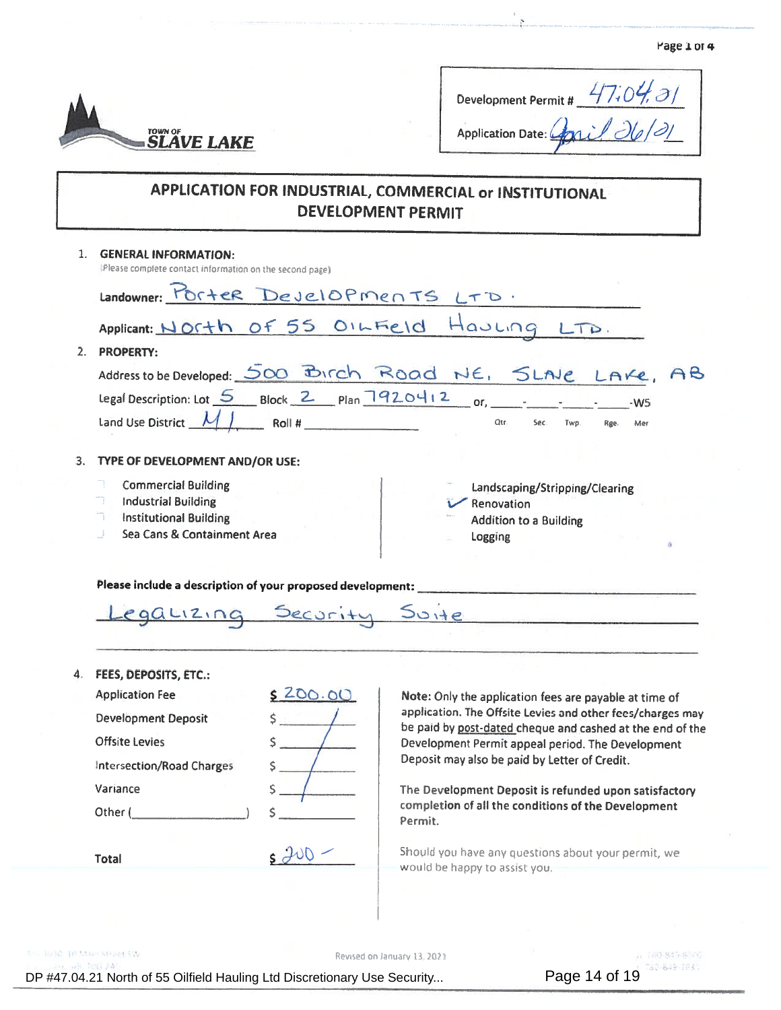

| Development Permit #          | 47.04.01 |
|-------------------------------|----------|
| Application Date: Conil 26/21 |          |

# APPLICATION FOR INDUSTRIAL, COMMERCIAL or INSTITUTIONAL DEVELOPMENT PERMIT

| $\mathbf{1}$ | <b>GENERAL INFORMATION:</b><br>(Please complete contact information on the second page)                                                  |                                                                                                                         |
|--------------|------------------------------------------------------------------------------------------------------------------------------------------|-------------------------------------------------------------------------------------------------------------------------|
|              | Landowner: PORTER Developments LTD.                                                                                                      |                                                                                                                         |
|              |                                                                                                                                          | Applicant: North of 55 OILFIELD Hauling LTD.                                                                            |
| 2.           | <b>PROPERTY:</b>                                                                                                                         |                                                                                                                         |
|              |                                                                                                                                          | Address to be Developed: 500 Birch Road NE, SLAVE LAKE,<br>AB                                                           |
|              |                                                                                                                                          | $-W5$                                                                                                                   |
|              | Land Use District $\mathcal{M}$ $\mathcal{M}$ Roll #                                                                                     | Qtr.<br>Sec.<br>Twp.<br>Rge.                                                                                            |
|              |                                                                                                                                          |                                                                                                                         |
| 3.           | TYPE OF DEVELOPMENT AND/OR USE:                                                                                                          |                                                                                                                         |
|              | <b>Commercial Building</b><br>R<br><b>Industrial Building</b><br>ħ<br><b>Institutional Building</b><br>Sea Cans & Containment Area<br>J. | Landscaping/Stripping/Clearing<br>Renovation<br><b>Addition to a Building</b><br>Logging                                |
|              |                                                                                                                                          | Please include a description of your proposed development: _____________________                                        |
|              |                                                                                                                                          | Legatizing Security Suite                                                                                               |
| 4.           | FEES, DEPOSITS, ETC.:                                                                                                                    |                                                                                                                         |
|              | \$ 200.00<br><b>Application Fee</b>                                                                                                      | Note: Only the application fees are payable at time of                                                                  |
|              | <b>Development Deposit</b>                                                                                                               | application. The Offsite Levies and other fees/charges may<br>be paid by post-dated cheque and cashed at the end of the |
|              | Offsite Levies                                                                                                                           | Development Permit appeal period. The Development                                                                       |
|              | <b>Intersection/Road Charges</b>                                                                                                         | Deposit may also be paid by Letter of Credit.                                                                           |
|              | Variance                                                                                                                                 | The Development Deposit is refunded upon satisfactory                                                                   |
|              | Ś<br>Other (                                                                                                                             | completion of all the conditions of the Development<br>Permit.                                                          |

Should you have any questions about your permit, we would be happy to assist you.

O FORD HUMAN SHARLSW

Total

Revised on January 13, 2021

 $sJVD$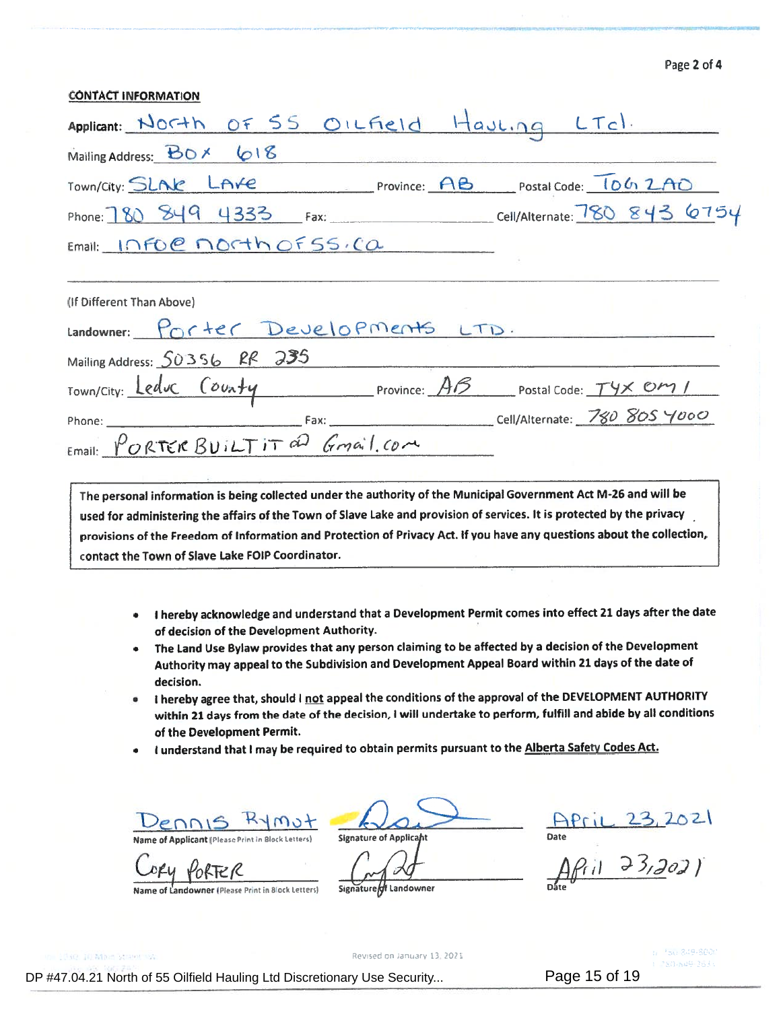| Page 2 of 4 |  |  |  |
|-------------|--|--|--|
|-------------|--|--|--|

|                                                            |  | Page 2 of 4 |
|------------------------------------------------------------|--|-------------|
| <b>CONTACT INFORMATION</b>                                 |  |             |
| Applicant: North OF 55 OILField Hauling LTd.               |  |             |
| Mailing Address: BOX 618                                   |  |             |
| Town/City: SLAK LAVE Province: AB Postal Code: 1062AD      |  |             |
| Phone: 180 849 4333 Fax: Cell/Alternate: 780 843 6754      |  |             |
| Email: INFOC MORTH OF 55.CO                                |  |             |
|                                                            |  |             |
|                                                            |  |             |
| (If Different Than Above)                                  |  |             |
| Landowner: PORTER Developments LTD.                        |  |             |
| Mailing Address: 50356 RR 235                              |  |             |
|                                                            |  |             |
| Town/City: Leduc County Province: AB postal Code: Tyx OM / |  |             |

The personal information is being collected under the authority of the Municipal Government Act M-26 and will be used for administering the affairs of the Town of Slave Lake and provision of services. It is protected by the privacy provisions of the Freedom of Information and Protection of Privacy Act. If you have any questions about the collection, contact the Town of Slave Lake FOIP Coordinator.

- <sup>I</sup> hereby acknowledge and understand that <sup>a</sup> Development Permit comes into effect <sup>21</sup> days after the date of decision of the Development Authority.
- • The Land Use Bylaw provides that any person claiming to be affected by <sup>a</sup> decision of the Development Authority may appea<sup>l</sup> to the Subdivision and Development Appeal Board within <sup>21</sup> days of the date of decision.
- •I hereby agree that, should I not appeal the conditions of the approval of the DEVELOPMENT AUTHORITY within <sup>21</sup> days from the date of the decision, <sup>I</sup> will undertake to perform, fulfill and abide by all conditions of the Development Permit.
- •**I understand that I may be required to obtain permits pursuant to the Alberta Safety Codes Act.**

Cory

Name of Landowner (Please Print in Block Letters) Signature of Landowner **Signature Landowner Prince Container** 

Name of Applicant (Please Print in Block Letters) Signature of Applicant National School Date

1April 23, 2021<br>April 23, 2021

Revised on January 13, 2021.

DP #47.04.21 North of 55 Oilfield Hauling Ltd Discretionary Use Security...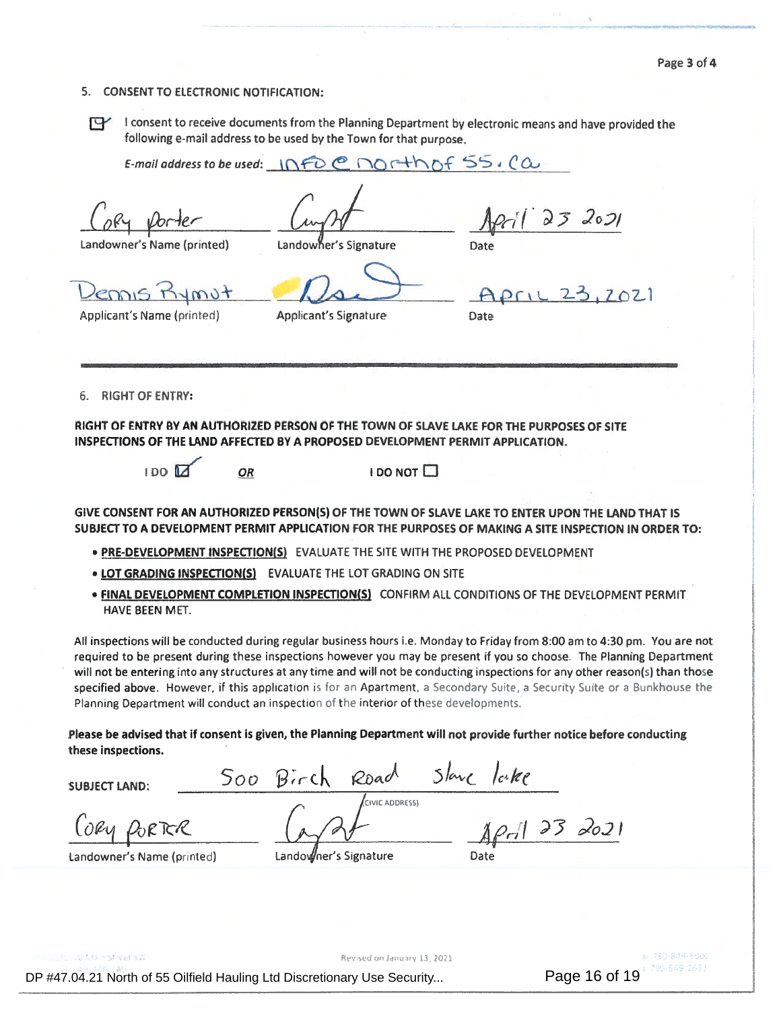#### 5. CONSENT TO ELECTRONIC NOTIFICATION:

**PY** 

<sup>I</sup> consent to receive documents from the Planning Department by electronic means and have provided the following e-mail address to be used by the Town for that purpose.

E-mail address to be used:  $\bigcap$   $\leftarrow$   $\circ$  $non+h$  of  $55.00$ 

Vorter

Landowner's Name (printed)

Landowher's Signature

Applicant's Signature

 $D_{2}$ 

Date

Pennis Kymot

Applicant's Name (printed)

 $Pf1L$   $23,202$ Date

 $23207$ 

6. RIGHT OF ENTRY:

RIGHT OF ENTRY BY AN AUTHORIZED PERSON OF THE TOWN OF SLAVE LAKE FOR THE PURPOSES OF SITE INSPECTIONS OF THE LAND AFFECTED BY A PROPOSED DEVELOPMENT PERMIT APPLICATION.



I DO NOT D

GIVE CONSENT FOR AN AUTHORIZED PERSON(S) OF THE TOWN OF SLAVE LAKE TO ENTER UPON THE LAND THAT IS SUBJECT TO A DEVELOPMENT PERMIT APPLICATION FOR THE PURPOSES OF MAKING A SITE INSPECTION IN ORDER TO:

- . PRE-DEVELOPMENT INSPECTION(S) EVALUATE THE SITE WITH THE PROPOSED DEVELOPMENT
- LOT GRADING INSPECTION(S) EVALUATE THE LOT GRADING ON SITE

OR

• FINAL DEVELOPMENT COMPLETION INSPECTION(S) CONFIRM ALL CONDITIONS OF THE DEVELOPMENT PERMIT HAVE BEEN MET.

All inspections will be conducted during regular business hours i.e. Monday to Friday from 8:00 am to 4:30 pm. You are not required to be presen<sup>t</sup> during these inspections however you may be presen<sup>t</sup> if you so choose. The Planning Department will not be entering into any structures at any time and will not be conducting inspections for any other reason(s) than those specified above. However, if this application is for an Apartment, a Secondary Suite, a Security Suite or a Bunkhouse the Planning Department will conduct an inspection of the interior of these developments.

Please be advised that if consent is given, the Planning Department will not provide further notice before conducting these inspections.

rch Road Slave lake  $500$  $B$ *irch* SUBJECT LAND: CIVIC ADDRESS PORTER Lag2+ April 23 2021  $0$ Ru Landowner's Name (printed) Landowner's Signature Date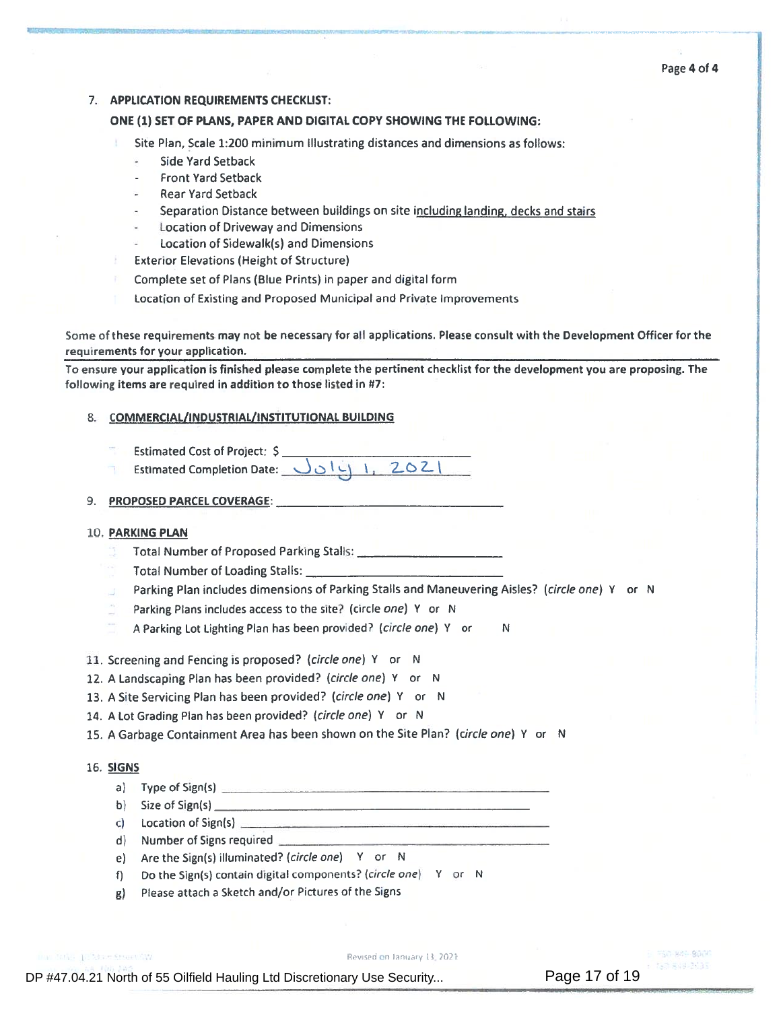#### 7. APPLICATION REQUIREMENTS CHECKLIST:

#### ONE (1) SET OF PLANS, PAPER AND DIGITAL COPY SHOWING THE FOLLOWING:

- Site Plan, Scale 1:200 minimum Illustrating distances and dimensions as follows:
	- Side Yard Setback
	- Front Yard Setback
	- Rear Yard Setback
	- Separation Distance between buildings on site including landing, decks and stairs
	- Location of Driveway and Dimensions
	- •Location of Sidewalk(s) and Dimensions
- Exterior Elevations (Height of Structure)
- Complete set of Plans (Blue Prints) in paper and digital form
- Location of Existing and Proposed Municipal and Private Improvements

Some of these requirements may not be necessary for all applications. Please consult with the Development Officer for the requirements for your application. TION REQUIREMENTS CHECKLIST:<br>
SET OF PLANS, PAPER AND DIGITAL COPY SHOWING THE FOLLO<br>
Plan, Scale 1:200 minimum Illustrating distances and dimension:<br>
Side Yard Setback<br>
Front Yard Setback<br>
Front Yard Setback<br>
Rear Yard S

To ensure your application is finished <sup>p</sup>lease complete the pertinent checklist for the development you are proposing. The following items are required in addition to those listed in #7:

#### 8. COMMERCIAL/INDUSTRIAL/INSTITUTIONAL BUILDING

- Estimated Cost of Project: \$
- Estimated Completion Date:  $J_0[i]$ , 2021

#### 9. PROPOSED PARCEL COVERAGE:

#### LO. **PARKING PLAN**

- Total Number of Proposed Parking Stalls:
- Total Number of Loading Stalls:
- Parking Plan includes dimensions of Parking Stalls and Maneuvering Aisles? (circle one) Y or N
- Parking Plans includes access to the site? (circle *one*) Y or N
- A Parking Lot Lighting Plan has been provided? (circle one) Y or N
- 11. Screening and Fencing is proposed? (circle one) Y or N
- 12. A Landscaping Plan has been provided? (circle one) <sup>Y</sup> or <sup>N</sup>
- 13. A Site Servicing Plan has been provided? (circle one) Y or N
- 14. A Lot Grading Plan has been provided? (circle one) Y or N
- 15. A Garbage Containment Area has been shown on the Site Plan? (circle one) Y or N

#### 16. SIGNS

- a) Type of Sign(s)
- b) Size of Sign(s)
- c) Location of Sign(s)
- d) Number of Signs required
- e) Are the Sign(s) illuminated? (circle one) Y or N
- f) Do the Sign(s) contain digital components? (circle one) <sup>V</sup> or <sup>N</sup>
- g) Please attach <sup>a</sup> Sketch and/or Pictures of the Signs

Market Art Adams Creams (AP)

on January 13, 2021

 $= 9.81 - 10.54 - 9.00$ 747 AU4 7431 Page 17 of 19

DP #47.04.21 North of 55 Oilfield Hauling Ltd Discretionary Use Security...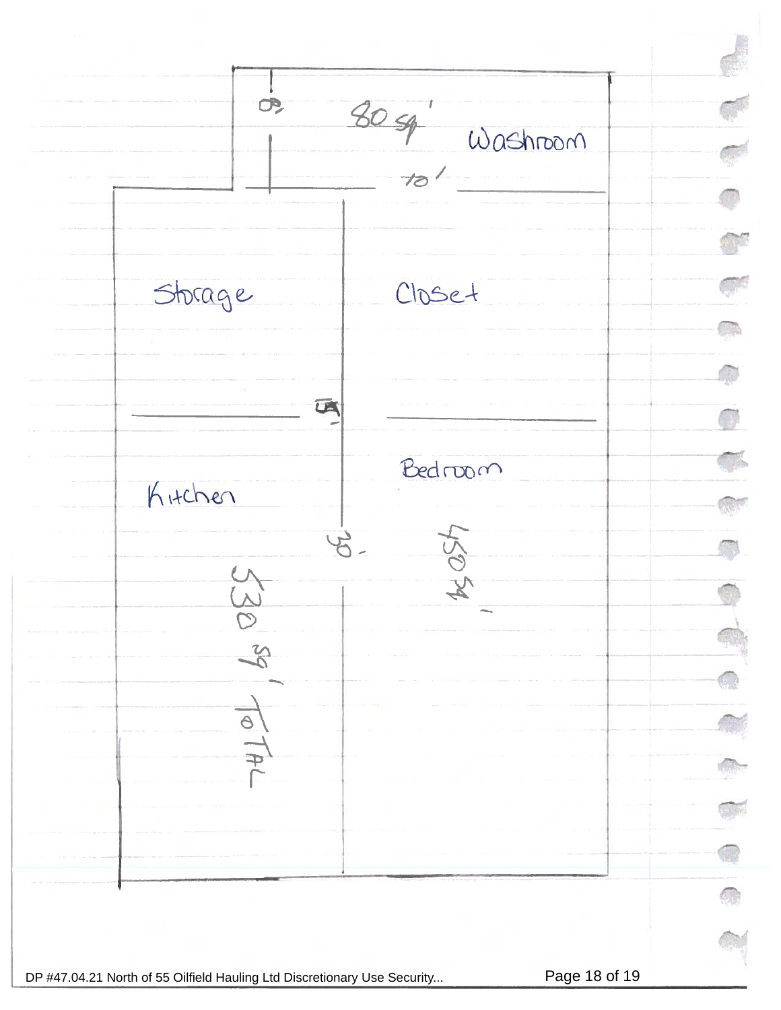$80 - 4$  Washroom  $\mathcal{O}$  $10^{1}$ Q Closet Storage  $\bigcirc$ 区 **external** S  $Bedrow$ Kitchen a<br>D  $\mathcal{E}$  $4951$ 5309  $\overline{\Theta}$ **I**  $\frac{1}{\Phi}$ P Œ DP #47.04.21 North of 55 Oilfield Hauling Ltd Discretionary Use Security... Page 18 of 19